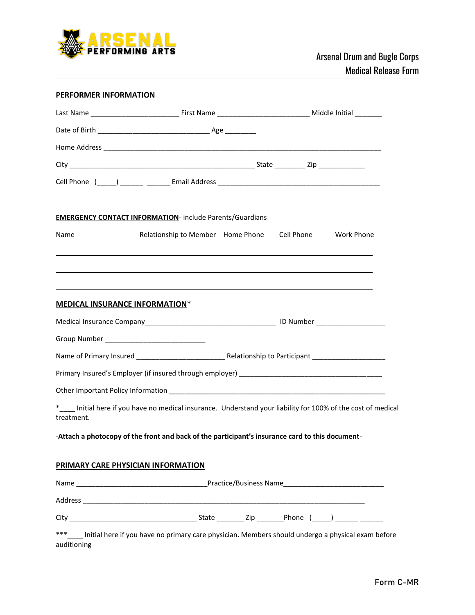

## **PERFORMER INFORMATION**

|                                       | <b>EMERGENCY CONTACT INFORMATION-</b> include Parents/Guardians                                               |  |  |  |  |
|---------------------------------------|---------------------------------------------------------------------------------------------------------------|--|--|--|--|
|                                       | Name Manne Relationship to Member Home Phone Cell Phone Work Phone                                            |  |  |  |  |
|                                       |                                                                                                               |  |  |  |  |
|                                       |                                                                                                               |  |  |  |  |
| <b>MEDICAL INSURANCE INFORMATION*</b> |                                                                                                               |  |  |  |  |
|                                       |                                                                                                               |  |  |  |  |
|                                       |                                                                                                               |  |  |  |  |
|                                       |                                                                                                               |  |  |  |  |
|                                       |                                                                                                               |  |  |  |  |
|                                       |                                                                                                               |  |  |  |  |
| treatment.                            | *<br>Initial here if you have no medical insurance. Understand your liability for 100% of the cost of medical |  |  |  |  |
|                                       | -Attach a photocopy of the front and back of the participant's insurance card to this document-               |  |  |  |  |
|                                       | PRIMARY CARE PHYSICIAN INFORMATION                                                                            |  |  |  |  |
|                                       |                                                                                                               |  |  |  |  |
|                                       |                                                                                                               |  |  |  |  |
|                                       |                                                                                                               |  |  |  |  |
| ***<br>auditioning                    | Initial here if you have no primary care physician. Members should undergo a physical exam before             |  |  |  |  |

Form C-MR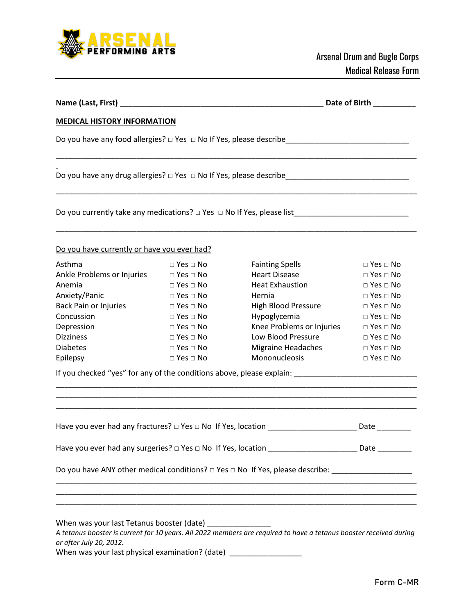

| Name (Last, First) _                                                                  |                            | Date of Birth                                                                                                      |                      |
|---------------------------------------------------------------------------------------|----------------------------|--------------------------------------------------------------------------------------------------------------------|----------------------|
| <b>MEDICAL HISTORY INFORMATION</b>                                                    |                            |                                                                                                                    |                      |
|                                                                                       |                            |                                                                                                                    |                      |
|                                                                                       |                            |                                                                                                                    |                      |
|                                                                                       |                            |                                                                                                                    |                      |
| Do you have currently or have you ever had?                                           |                            |                                                                                                                    |                      |
| Asthma                                                                                | $\Box$ Yes $\Box$ No       | <b>Fainting Spells</b>                                                                                             | $\Box$ Yes $\Box$ No |
| Ankle Problems or Injuries                                                            | $\Box$ Yes $\Box$ No       | <b>Heart Disease</b>                                                                                               | $\Box$ Yes $\Box$ No |
| Anemia                                                                                | $\square$ Yes $\square$ No | <b>Heat Exhaustion</b>                                                                                             | $\Box$ Yes $\Box$ No |
| Anxiety/Panic                                                                         | $\Box$ Yes $\Box$ No       | Hernia                                                                                                             | $\Box$ Yes $\Box$ No |
| Back Pain or Injuries                                                                 | $\Box$ Yes $\Box$ No       | <b>High Blood Pressure</b>                                                                                         | $\Box$ Yes $\Box$ No |
| Concussion                                                                            | $\Box$ Yes $\Box$ No       | Hypoglycemia                                                                                                       | $\Box$ Yes $\Box$ No |
| Depression                                                                            | $\Box$ Yes $\Box$ No       | Knee Problems or Injuries                                                                                          | $\Box$ Yes $\Box$ No |
| <b>Dizziness</b>                                                                      | $\Box$ Yes $\Box$ No       | Low Blood Pressure                                                                                                 | $\Box$ Yes $\Box$ No |
| <b>Diabetes</b>                                                                       | $\Box$ Yes $\Box$ No       | Migraine Headaches                                                                                                 | $\Box$ Yes $\Box$ No |
| Epilepsy                                                                              | $\Box$ Yes $\Box$ No       | Mononucleosis                                                                                                      | $\Box$ Yes $\Box$ No |
|                                                                                       |                            |                                                                                                                    |                      |
|                                                                                       |                            |                                                                                                                    | Date                 |
|                                                                                       |                            | Have you ever had any surgeries? $\Box$ Yes $\Box$ No If Yes, location ____________________________Date __________ |                      |
|                                                                                       |                            | Do you have ANY other medical conditions? $\Box$ Yes $\Box$ No If Yes, please describe: ______________________     |                      |
|                                                                                       |                            |                                                                                                                    |                      |
| When was your last Tetanus booster (date) ________________<br>or after July 20, 2012. |                            | A tetanus booster is current for 10 years. All 2022 members are required to have a tetanus booster received during |                      |